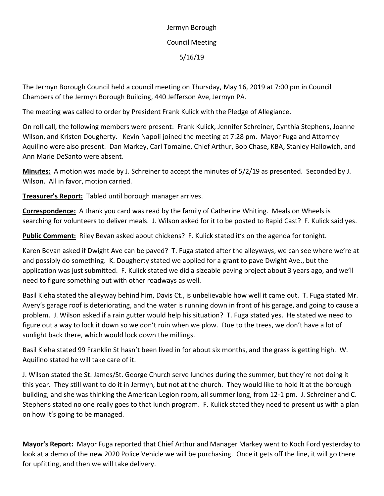Jermyn Borough Council Meeting 5/16/19

The Jermyn Borough Council held a council meeting on Thursday, May 16, 2019 at 7:00 pm in Council Chambers of the Jermyn Borough Building, 440 Jefferson Ave, Jermyn PA.

The meeting was called to order by President Frank Kulick with the Pledge of Allegiance.

On roll call, the following members were present: Frank Kulick, Jennifer Schreiner, Cynthia Stephens, Joanne Wilson, and Kristen Dougherty. Kevin Napoli joined the meeting at 7:28 pm. Mayor Fuga and Attorney Aquilino were also present. Dan Markey, Carl Tomaine, Chief Arthur, Bob Chase, KBA, Stanley Hallowich, and Ann Marie DeSanto were absent.

**Minutes:** A motion was made by J. Schreiner to accept the minutes of 5/2/19 as presented. Seconded by J. Wilson. All in favor, motion carried.

**Treasurer's Report:** Tabled until borough manager arrives.

**Correspondence:** A thank you card was read by the family of Catherine Whiting. Meals on Wheels is searching for volunteers to deliver meals. J. Wilson asked for it to be posted to Rapid Cast? F. Kulick said yes.

**Public Comment:** Riley Bevan asked about chickens? F. Kulick stated it's on the agenda for tonight.

Karen Bevan asked if Dwight Ave can be paved? T. Fuga stated after the alleyways, we can see where we're at and possibly do something. K. Dougherty stated we applied for a grant to pave Dwight Ave., but the application was just submitted. F. Kulick stated we did a sizeable paving project about 3 years ago, and we'll need to figure something out with other roadways as well.

Basil Kleha stated the alleyway behind him, Davis Ct., is unbelievable how well it came out. T. Fuga stated Mr. Avery's garage roof is deteriorating, and the water is running down in front of his garage, and going to cause a problem. J. Wilson asked if a rain gutter would help his situation? T. Fuga stated yes. He stated we need to figure out a way to lock it down so we don't ruin when we plow. Due to the trees, we don't have a lot of sunlight back there, which would lock down the millings.

Basil Kleha stated 99 Franklin St hasn't been lived in for about six months, and the grass is getting high. W. Aquilino stated he will take care of it.

J. Wilson stated the St. James/St. George Church serve lunches during the summer, but they're not doing it this year. They still want to do it in Jermyn, but not at the church. They would like to hold it at the borough building, and she was thinking the American Legion room, all summer long, from 12-1 pm. J. Schreiner and C. Stephens stated no one really goes to that lunch program. F. Kulick stated they need to present us with a plan on how it's going to be managed.

**Mayor's Report:** Mayor Fuga reported that Chief Arthur and Manager Markey went to Koch Ford yesterday to look at a demo of the new 2020 Police Vehicle we will be purchasing. Once it gets off the line, it will go there for upfitting, and then we will take delivery.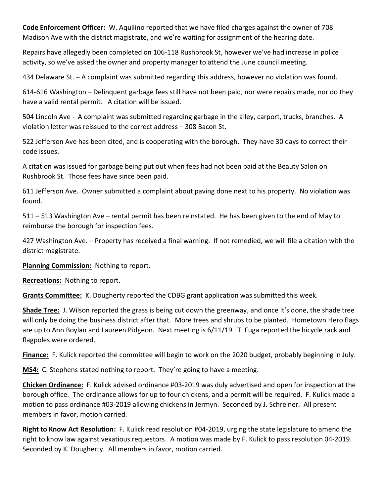**Code Enforcement Officer:** W. Aquilino reported that we have filed charges against the owner of 708 Madison Ave with the district magistrate, and we're waiting for assignment of the hearing date.

Repairs have allegedly been completed on 106-118 Rushbrook St, however we've had increase in police activity, so we've asked the owner and property manager to attend the June council meeting.

434 Delaware St. – A complaint was submitted regarding this address, however no violation was found.

614-616 Washington – Delinquent garbage fees still have not been paid, nor were repairs made, nor do they have a valid rental permit. A citation will be issued.

504 Lincoln Ave - A complaint was submitted regarding garbage in the alley, carport, trucks, branches. A violation letter was reissued to the correct address – 308 Bacon St.

522 Jefferson Ave has been cited, and is cooperating with the borough. They have 30 days to correct their code issues.

A citation was issued for garbage being put out when fees had not been paid at the Beauty Salon on Rushbrook St. Those fees have since been paid.

611 Jefferson Ave. Owner submitted a complaint about paving done next to his property. No violation was found.

511 – 513 Washington Ave – rental permit has been reinstated. He has been given to the end of May to reimburse the borough for inspection fees.

427 Washington Ave. – Property has received a final warning. If not remedied, we will file a citation with the district magistrate.

**Planning Commission:** Nothing to report.

**Recreations:** Nothing to report.

**Grants Committee:** K. Dougherty reported the CDBG grant application was submitted this week.

**Shade Tree:** J. Wilson reported the grass is being cut down the greenway, and once it's done, the shade tree will only be doing the business district after that. More trees and shrubs to be planted. Hometown Hero flags are up to Ann Boylan and Laureen Pidgeon. Next meeting is 6/11/19. T. Fuga reported the bicycle rack and flagpoles were ordered.

**Finance:** F. Kulick reported the committee will begin to work on the 2020 budget, probably beginning in July.

**MS4:** C. Stephens stated nothing to report. They're going to have a meeting.

**Chicken Ordinance:** F. Kulick advised ordinance #03-2019 was duly advertised and open for inspection at the borough office. The ordinance allows for up to four chickens, and a permit will be required. F. Kulick made a motion to pass ordinance #03-2019 allowing chickens in Jermyn. Seconded by J. Schreiner. All present members in favor, motion carried.

**Right to Know Act Resolution:** F. Kulick read resolution #04-2019, urging the state legislature to amend the right to know law against vexatious requestors. A motion was made by F. Kulick to pass resolution 04-2019. Seconded by K. Dougherty. All members in favor, motion carried.